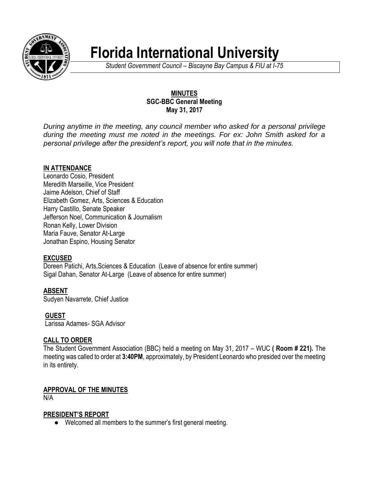

# **Florida International University**

*Student Government Council – Biscayne Bay Campus & FIU at I-75*

#### **MINUTES SGC-BBC General Meeting May 31, 2017**

*During anytime in the meeting, any council member who asked for a personal privilege during the meeting must me noted in the meetings. For ex: John Smith asked for a personal privilege after the president's report, you will note that in the minutes.*

## **IN ATTENDANCE**

Leonardo Cosio, President Meredith Marseille, Vice President Jaime Adelson, Chief of Staff Elizabeth Gomez, Arts, Sciences & Education Harry Castillo, Senate Speaker Jefferson Noel, Communication & Journalism Ronan Kelly, Lower Division Maria Fauve, Senator At-Large Jonathan Espino, Housing Senator

# **EXCUSED**

Doreen Patichi, Arts, Sciences & Education (Leave of absence for entire summer) Sigal Dahan, Senator At-Large (Leave of absence for entire summer)

**ABSENT**

Sudyen Navarrete, Chief Justice

**GUEST**

Larissa Adames- SGA Advisor

# **CALL TO ORDER**

The Student Government Association (BBC) held a meeting on May 31, 2017 – WUC **( Room # 221).** The meeting was called to order at **3:40PM**, approximately, by President Leonardo who presided over the meeting in its entirety.

# **APPROVAL OF THE MINUTES**

N/A

## **PRESIDENT'S REPORT**

● Welcomed all members to the summer's first general meeting.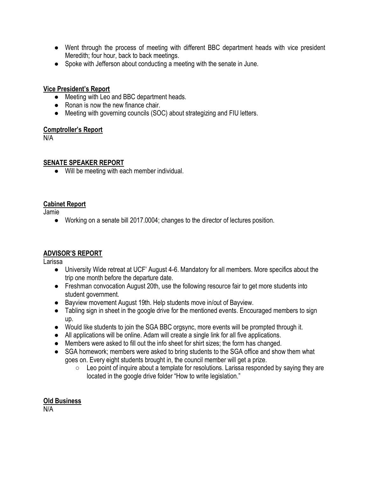- Went through the process of meeting with different BBC department heads with vice president Meredith; four hour, back to back meetings.
- Spoke with Jefferson about conducting a meeting with the senate in June.

#### **Vice President's Report**

- Meeting with Leo and BBC department heads.
- Ronan is now the new finance chair.
- Meeting with governing councils (SOC) about strategizing and FIU letters.

#### **Comptroller's Report**

N/A

#### **SENATE SPEAKER REPORT**

● Will be meeting with each member individual.

#### **Cabinet Report**

Jamie

● Working on a senate bill 2017.0004; changes to the director of lectures position.

## **ADVISOR'S REPORT**

Larissa

- University Wide retreat at UCF' August 4-6. Mandatory for all members. More specifics about the trip one month before the departure date.
- Freshman convocation August 20th, use the following resource fair to get more students into student government.
- Bayview movement August 19th. Help students move in/out of Bayview.
- Tabling sign in sheet in the google drive for the mentioned events. Encouraged members to sign up.
- Would like students to join the SGA BBC orgsync, more events will be prompted through it.
- All applications will be online. Adam will create a single link for all five applications.
- Members were asked to fill out the info sheet for shirt sizes; the form has changed.
- SGA homework; members were asked to bring students to the SGA office and show them what goes on. Every eight students brought in, the council member will get a prize.
	- Leo point of inquire about a template for resolutions. Larissa responded by saying they are located in the google drive folder "How to write legislation."

## **Old Business**

N/A